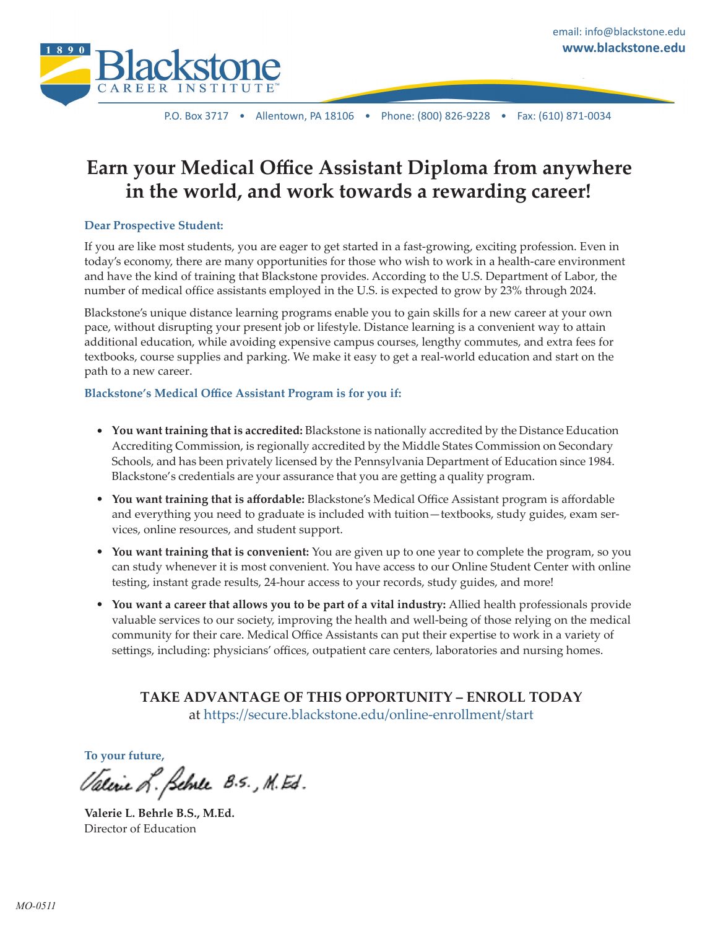

P.O. Box 3717 • Allentown, PA 18106 • Phone: (800) 826-9228 • Fax: (610) 871-0034

# **Earn your Medical Office Assistant Diploma from anywhere in the world, and work towards a rewarding career!**

### **Dear Prospective Student:**

If you are like most students, you are eager to get started in a fast-growing, exciting profession. Even in today's economy, there are many opportunities for those who wish to work in a health-care environment and have the kind of training that Blackstone provides. According to the U.S. Department of Labor, the number of medical office assistants employed in the U.S. is expected to grow by 23% through 2024.

Blackstone's unique distance learning programs enable you to gain skills for a new career at your own pace, without disrupting your present job or lifestyle. Distance learning is a convenient way to attain additional education, while avoiding expensive campus courses, lengthy commutes, and extra fees for textbooks, course supplies and parking. We make it easy to get a real-world education and start on the path to a new career.

### **Blackstone's Medical Office Assistant Program is for you if:**

- **You want training that is accredited:** Blackstone is nationally accredited by the Distance Education Accrediting Commission, is regionally accredited by the Middle States Commission on Secondary Schools, and has been privately licensed by the Pennsylvania Department of Education since 1984. Blackstone's credentials are your assurance that you are getting a quality program.
- **You want training that is affordable:** Blackstone's Medical Office Assistant program is affordable and everything you need to graduate is included with tuition—textbooks, study guides, exam services, online resources, and student support.
- **You want training that is convenient:** You are given up to one year to complete the program, so you can study whenever it is most convenient. You have access to our Online Student Center with online testing, instant grade results, 24-hour access to your records, study guides, and more!
- **You want a career that allows you to be part of a vital industry:** Allied health professionals provide valuable services to our society, improving the health and well-being of those relying on the medical community for their care. Medical Office Assistants can put their expertise to work in a variety of settings, including: physicians' offices, outpatient care centers, laboratories and nursing homes.

**TAKE ADVANTAGE OF THIS OPPORTUNITY – ENROLL TODAY** at <https://secure.blackstone.edu/online-enrollment/start>

#### **To your future,**

Valine L. Selver 8.5., M. Ed.

**Valerie L. Behrle B.S., M.Ed.** Director of Education